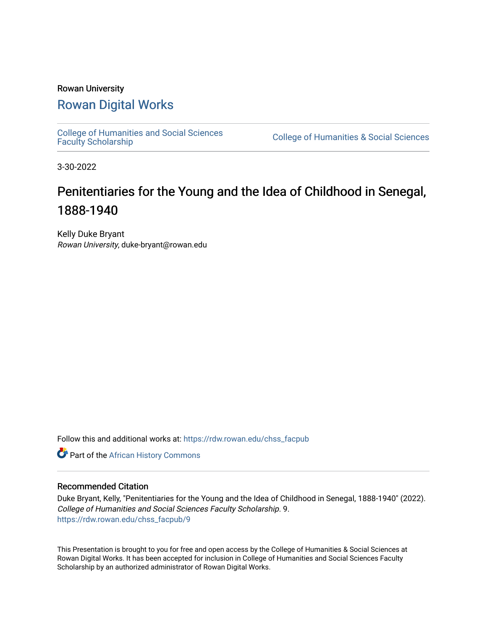### Rowan University [Rowan Digital Works](https://rdw.rowan.edu/)

[College of Humanities and Social Sciences](https://rdw.rowan.edu/chss_facpub) 

College of Humanities & Social Sciences

3-30-2022

### Penitentiaries for the Young and the Idea of Childhood in Senegal, 1888-1940

Kelly Duke Bryant Rowan University, duke-bryant@rowan.edu

Follow this and additional works at: [https://rdw.rowan.edu/chss\\_facpub](https://rdw.rowan.edu/chss_facpub?utm_source=rdw.rowan.edu%2Fchss_facpub%2F9&utm_medium=PDF&utm_campaign=PDFCoverPages) 

**Part of the [African History Commons](http://network.bepress.com/hgg/discipline/490?utm_source=rdw.rowan.edu%2Fchss_facpub%2F9&utm_medium=PDF&utm_campaign=PDFCoverPages)** 

#### Recommended Citation

Duke Bryant, Kelly, "Penitentiaries for the Young and the Idea of Childhood in Senegal, 1888-1940" (2022). College of Humanities and Social Sciences Faculty Scholarship. 9. [https://rdw.rowan.edu/chss\\_facpub/9](https://rdw.rowan.edu/chss_facpub/9?utm_source=rdw.rowan.edu%2Fchss_facpub%2F9&utm_medium=PDF&utm_campaign=PDFCoverPages) 

This Presentation is brought to you for free and open access by the College of Humanities & Social Sciences at Rowan Digital Works. It has been accepted for inclusion in College of Humanities and Social Sciences Faculty Scholarship by an authorized administrator of Rowan Digital Works.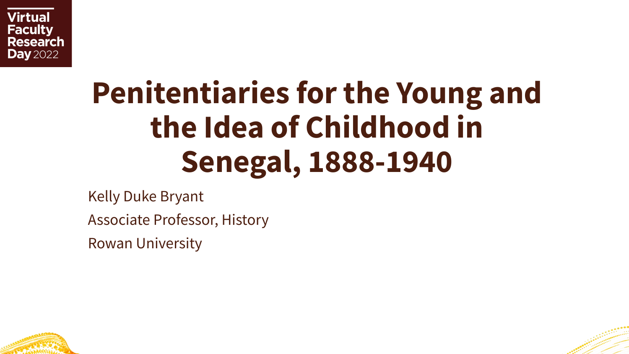

# **Penitentiaries for the Young and the Idea of Childhood in Senegal, 1888-1940**

Kelly Duke Bryant

Associate Professor, History

Rowan University



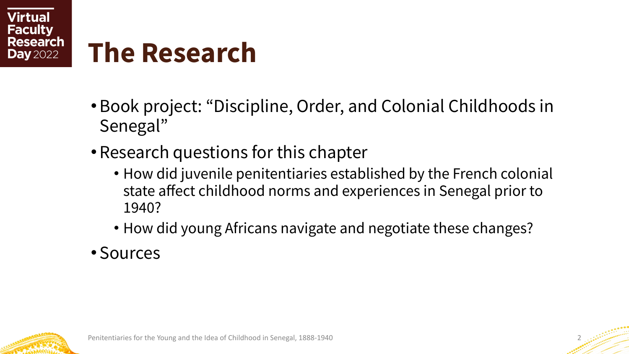

## **The Research**

- •Book project: "Discipline, Order, and Colonial Childhoods in Senegal"
- Research questions for this chapter
	- How did juvenile penitentiaries established by the French colonial state affect childhood norms and experiences in Senegal prior to 1940?
	- How did young Africans navigate and negotiate these changes?
- Sources